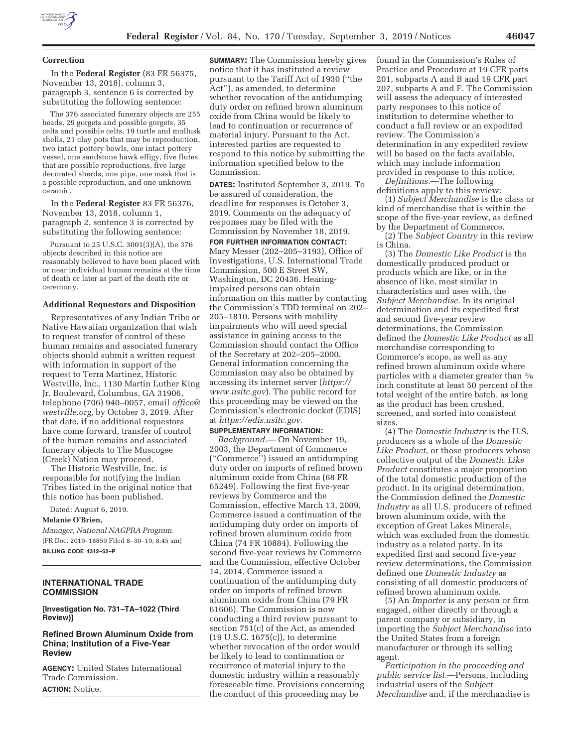

#### **Correction**

In the **Federal Register** (83 FR 56375, November 13, 2018), column 3, paragraph 3, sentence 6 is corrected by substituting the following sentence:

The 376 associated funerary objects are 255 beads, 29 gorgets and possible gorgets, 35 celts and possible celts, 19 turtle and mollusk shells, 21 clay pots that may be reproduction, two intact pottery bowls, one intact pottery vessel, one sandstone hawk effigy, five flutes that are possible reproductions, five large decorated sherds, one pipe, one mask that is a possible reproduction, and one unknown ceramic.

In the **Federal Register** 83 FR 56376, November 13, 2018, column 1, paragraph 2, sentence 3 is corrected by substituting the following sentence:

Pursuant to 25 U.S.C. 3001(3)(A), the 376 objects described in this notice are reasonably believed to have been placed with or near individual human remains at the time of death or later as part of the death rite or ceremony.

#### **Additional Requestors and Disposition**

Representatives of any Indian Tribe or Native Hawaiian organization that wish to request transfer of control of these human remains and associated funerary objects should submit a written request with information in support of the request to Terra Martinez, Historic Westville, Inc., 1130 Martin Luther King Jr. Boulevard, Columbus, GA 31906, telephone (706) 940–0057, email *office@ westville.org,* by October 3, 2019. After that date, if no additional requestors have come forward, transfer of control of the human remains and associated funerary objects to The Muscogee (Creek) Nation may proceed.

The Historic Westville, Inc. is responsible for notifying the Indian Tribes listed in the original notice that this notice has been published.

Dated: August 6, 2019.

**Melanie O'Brien,** 

*Manager, National NAGPRA Program.*  [FR Doc. 2019–18859 Filed 8–30–19; 8:45 am] **BILLING CODE 4312–52–P** 

# **INTERNATIONAL TRADE COMMISSION**

**[Investigation No. 731–TA–1022 (Third Review)]** 

## **Refined Brown Aluminum Oxide from China; Institution of a Five-Year Review**

**AGENCY:** United States International Trade Commission. **ACTION:** Notice.

**SUMMARY:** The Commission hereby gives notice that it has instituted a review pursuant to the Tariff Act of 1930 (''the Act''), as amended, to determine whether revocation of the antidumping duty order on refined brown aluminum oxide from China would be likely to lead to continuation or recurrence of material injury. Pursuant to the Act, interested parties are requested to respond to this notice by submitting the information specified below to the Commission.

**DATES:** Instituted September 3, 2019. To be assured of consideration, the deadline for responses is October 3, 2019. Comments on the adequacy of responses may be filed with the Commission by November 18, 2019.

**FOR FURTHER INFORMATION CONTACT:**  Mary Messer (202–205–3193), Office of Investigations, U.S. International Trade Commission, 500 E Street SW, Washington, DC 20436. Hearingimpaired persons can obtain information on this matter by contacting the Commission's TDD terminal on 202– 205–1810. Persons with mobility impairments who will need special assistance in gaining access to the Commission should contact the Office of the Secretary at 202–205–2000. General information concerning the Commission may also be obtained by accessing its internet server (*https:// www.usitc.gov*). The public record for this proceeding may be viewed on the Commission's electronic docket (EDIS) at *https://edis.usitc.gov.* 

## **SUPPLEMENTARY INFORMATION:**

*Background.*— On November 19, 2003, the Department of Commerce (''Commerce'') issued an antidumping duty order on imports of refined brown aluminum oxide from China (68 FR 65249). Following the first five-year reviews by Commerce and the Commission, effective March 13, 2009, Commerce issued a continuation of the antidumping duty order on imports of refined brown aluminum oxide from China (74 FR 10884). Following the second five-year reviews by Commerce and the Commission, effective October 14, 2014, Commerce issued a continuation of the antidumping duty order on imports of refined brown aluminum oxide from China (79 FR 61606). The Commission is now conducting a third review pursuant to section 751(c) of the Act, as amended (19 U.S.C. 1675(c)), to determine whether revocation of the order would be likely to lead to continuation or recurrence of material injury to the domestic industry within a reasonably foreseeable time. Provisions concerning the conduct of this proceeding may be

found in the Commission's Rules of Practice and Procedure at 19 CFR parts 201, subparts A and B and 19 CFR part 207, subparts A and F. The Commission will assess the adequacy of interested party responses to this notice of institution to determine whether to conduct a full review or an expedited review. The Commission's determination in any expedited review will be based on the facts available, which may include information provided in response to this notice.

*Definitions.*—The following definitions apply to this review:

(1) *Subject Merchandise* is the class or kind of merchandise that is within the scope of the five-year review, as defined by the Department of Commerce.

(2) The *Subject Country* in this review is China.

(3) The *Domestic Like Product* is the domestically produced product or products which are like, or in the absence of like, most similar in characteristics and uses with, the *Subject Merchandise.* In its original determination and its expedited first and second five-year review determinations, the Commission defined the *Domestic Like Product* as all merchandise corresponding to Commerce's scope, as well as any refined brown aluminum oxide where particles with a diameter greater than 3⁄8 inch constitute at least 50 percent of the total weight of the entire batch, as long as the product has been crushed, screened, and sorted into consistent sizes.

(4) The *Domestic Industry* is the U.S. producers as a whole of the *Domestic Like Product,* or those producers whose collective output of the *Domestic Like Product* constitutes a major proportion of the total domestic production of the product. In its original determination, the Commission defined the *Domestic Industry* as all U.S. producers of refined brown aluminum oxide, with the exception of Great Lakes Minerals, which was excluded from the domestic industry as a related party. In its expedited first and second five-year review determinations, the Commission defined one *Domestic Industry* as consisting of all domestic producers of refined brown aluminum oxide.

(5) An *Importer* is any person or firm engaged, either directly or through a parent company or subsidiary, in importing the *Subject Merchandise* into the United States from a foreign manufacturer or through its selling agent.

*Participation in the proceeding and public service list.*—Persons, including industrial users of the *Subject Merchandise* and, if the merchandise is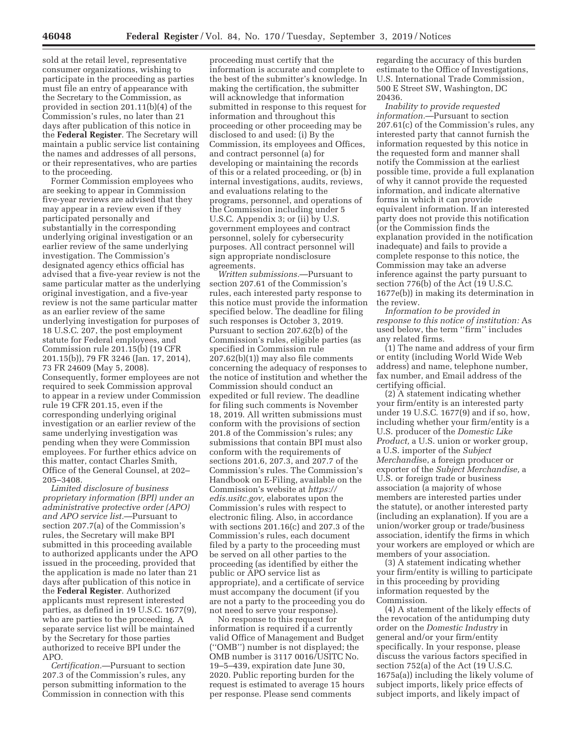sold at the retail level, representative consumer organizations, wishing to participate in the proceeding as parties must file an entry of appearance with the Secretary to the Commission, as provided in section 201.11(b)(4) of the Commission's rules, no later than 21 days after publication of this notice in the **Federal Register**. The Secretary will maintain a public service list containing the names and addresses of all persons, or their representatives, who are parties to the proceeding.

Former Commission employees who are seeking to appear in Commission five-year reviews are advised that they may appear in a review even if they participated personally and substantially in the corresponding underlying original investigation or an earlier review of the same underlying investigation. The Commission's designated agency ethics official has advised that a five-year review is not the same particular matter as the underlying original investigation, and a five-year review is not the same particular matter as an earlier review of the same underlying investigation for purposes of 18 U.S.C. 207, the post employment statute for Federal employees, and Commission rule 201.15(b) (19 CFR 201.15(b)), 79 FR 3246 (Jan. 17, 2014), 73 FR 24609 (May 5, 2008). Consequently, former employees are not required to seek Commission approval to appear in a review under Commission rule 19 CFR 201.15, even if the corresponding underlying original investigation or an earlier review of the same underlying investigation was pending when they were Commission employees. For further ethics advice on this matter, contact Charles Smith, Office of the General Counsel, at 202– 205–3408.

*Limited disclosure of business proprietary information (BPI) under an administrative protective order (APO) and APO service list.*—Pursuant to section 207.7(a) of the Commission's rules, the Secretary will make BPI submitted in this proceeding available to authorized applicants under the APO issued in the proceeding, provided that the application is made no later than 21 days after publication of this notice in the **Federal Register**. Authorized applicants must represent interested parties, as defined in 19 U.S.C. 1677(9), who are parties to the proceeding. A separate service list will be maintained by the Secretary for those parties authorized to receive BPI under the APO.

*Certification.*—Pursuant to section 207.3 of the Commission's rules, any person submitting information to the Commission in connection with this

proceeding must certify that the information is accurate and complete to the best of the submitter's knowledge. In making the certification, the submitter will acknowledge that information submitted in response to this request for information and throughout this proceeding or other proceeding may be disclosed to and used: (i) By the Commission, its employees and Offices, and contract personnel (a) for developing or maintaining the records of this or a related proceeding, or (b) in internal investigations, audits, reviews, and evaluations relating to the programs, personnel, and operations of the Commission including under 5 U.S.C. Appendix 3; or (ii) by U.S. government employees and contract personnel, solely for cybersecurity purposes. All contract personnel will sign appropriate nondisclosure agreements.

*Written submissions.*—Pursuant to section 207.61 of the Commission's rules, each interested party response to this notice must provide the information specified below. The deadline for filing such responses is October 3, 2019. Pursuant to section 207.62(b) of the Commission's rules, eligible parties (as specified in Commission rule 207.62(b)(1)) may also file comments concerning the adequacy of responses to the notice of institution and whether the Commission should conduct an expedited or full review. The deadline for filing such comments is November 18, 2019. All written submissions must conform with the provisions of section 201.8 of the Commission's rules; any submissions that contain BPI must also conform with the requirements of sections 201.6, 207.3, and 207.7 of the Commission's rules. The Commission's Handbook on E-Filing, available on the Commission's website at *https:// edis.usitc.gov,* elaborates upon the Commission's rules with respect to electronic filing. Also, in accordance with sections 201.16(c) and 207.3 of the Commission's rules, each document filed by a party to the proceeding must be served on all other parties to the proceeding (as identified by either the public or APO service list as appropriate), and a certificate of service must accompany the document (if you are not a party to the proceeding you do not need to serve your response).

No response to this request for information is required if a currently valid Office of Management and Budget (''OMB'') number is not displayed; the OMB number is 3117 0016/USITC No. 19–5–439, expiration date June 30, 2020. Public reporting burden for the request is estimated to average 15 hours per response. Please send comments

regarding the accuracy of this burden estimate to the Office of Investigations, U.S. International Trade Commission, 500 E Street SW, Washington, DC 20436.

*Inability to provide requested information.*—Pursuant to section 207.61(c) of the Commission's rules, any interested party that cannot furnish the information requested by this notice in the requested form and manner shall notify the Commission at the earliest possible time, provide a full explanation of why it cannot provide the requested information, and indicate alternative forms in which it can provide equivalent information. If an interested party does not provide this notification (or the Commission finds the explanation provided in the notification inadequate) and fails to provide a complete response to this notice, the Commission may take an adverse inference against the party pursuant to section 776(b) of the Act (19 U.S.C. 1677e(b)) in making its determination in the review.

*Information to be provided in response to this notice of institution:* As used below, the term ''firm'' includes any related firms.

(1) The name and address of your firm or entity (including World Wide Web address) and name, telephone number, fax number, and Email address of the certifying official.

(2) A statement indicating whether your firm/entity is an interested party under 19 U.S.C. 1677(9) and if so, how, including whether your firm/entity is a U.S. producer of the *Domestic Like Product,* a U.S. union or worker group, a U.S. importer of the *Subject Merchandi*se, a foreign producer or exporter of the *Subject Merchandise,* a U.S. or foreign trade or business association (a majority of whose members are interested parties under the statute), or another interested party (including an explanation). If you are a union/worker group or trade/business association, identify the firms in which your workers are employed or which are members of your association.

(3) A statement indicating whether your firm/entity is willing to participate in this proceeding by providing information requested by the Commission.

(4) A statement of the likely effects of the revocation of the antidumping duty order on the *Domestic Industry* in general and/or your firm/entity specifically. In your response, please discuss the various factors specified in section 752(a) of the Act (19 U.S.C. 1675a(a)) including the likely volume of subject imports, likely price effects of subject imports, and likely impact of